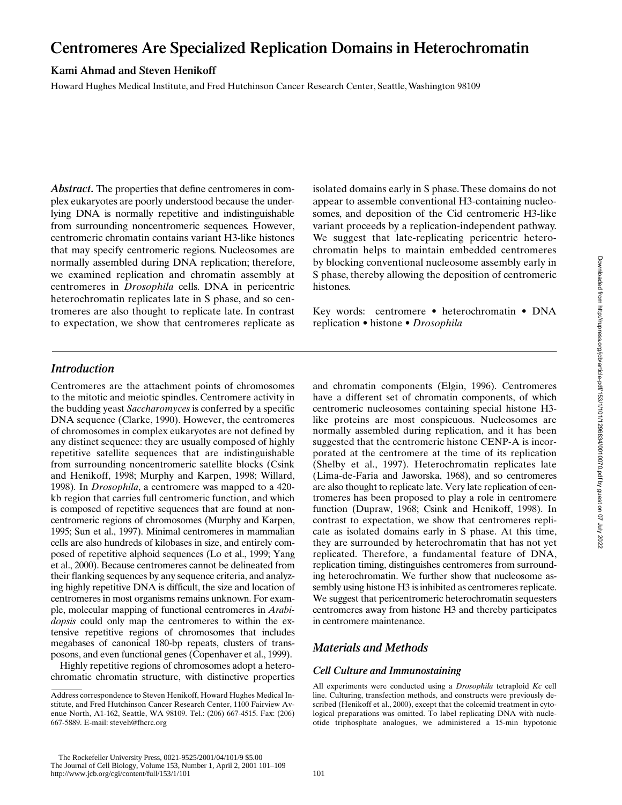# **Centromeres Are Specialized Replication Domains in Heterochromatin**

## **Kami Ahmad and Steven Henikoff**

Howard Hughes Medical Institute, and Fred Hutchinson Cancer Research Center, Seattle, Washington 98109

*Abstract.* The properties that define centromeres in complex eukaryotes are poorly understood because the underlying DNA is normally repetitive and indistinguishable from surrounding noncentromeric sequences. However, centromeric chromatin contains variant H3-like histones that may specify centromeric regions. Nucleosomes are normally assembled during DNA replication; therefore, we examined replication and chromatin assembly at centromeres in *Drosophila* cells. DNA in pericentric heterochromatin replicates late in S phase, and so centromeres are also thought to replicate late. In contrast to expectation, we show that centromeres replicate as

isolated domains early in S phase. These domains do not appear to assemble conventional H3-containing nucleosomes, and deposition of the Cid centromeric H3-like variant proceeds by a replication-independent pathway. We suggest that late-replicating pericentric heterochromatin helps to maintain embedded centromeres by blocking conventional nucleosome assembly early in S phase, thereby allowing the deposition of centromeric histones.

Key words: centromere • heterochromatin • DNA replication • histone • *Drosophila*

## *Introduction*

Centromeres are the attachment points of chromosomes to the mitotic and meiotic spindles. Centromere activity in the budding yeast *Saccharomyces* is conferred by a specific DNA sequence (Clarke, 1990). However, the centromeres of chromosomes in complex eukaryotes are not defined by any distinct sequence: they are usually composed of highly repetitive satellite sequences that are indistinguishable from surrounding noncentromeric satellite blocks (Csink and Henikoff, 1998; Murphy and Karpen, 1998; Willard, 1998)*.* In *Drosophila*, a centromere was mapped to a 420 kb region that carries full centromeric function, and which is composed of repetitive sequences that are found at noncentromeric regions of chromosomes (Murphy and Karpen, 1995; Sun et al., 1997). Minimal centromeres in mammalian cells are also hundreds of kilobases in size, and entirely composed of repetitive alphoid sequences (Lo et al., 1999; Yang et al., 2000). Because centromeres cannot be delineated from their flanking sequences by any sequence criteria, and analyzing highly repetitive DNA is difficult, the size and location of centromeres in most organisms remains unknown. For example, molecular mapping of functional centromeres in *Arabidopsis* could only map the centromeres to within the extensive repetitive regions of chromosomes that includes megabases of canonical 180-bp repeats, clusters of transposons, and even functional genes (Copenhaver et al., 1999).

Highly repetitive regions of chromosomes adopt a heterochromatic chromatin structure, with distinctive properties and chromatin components (Elgin, 1996). Centromeres have a different set of chromatin components, of which centromeric nucleosomes containing special histone H3 like proteins are most conspicuous. Nucleosomes are normally assembled during replication, and it has been suggested that the centromeric histone CENP-A is incorporated at the centromere at the time of its replication (Shelby et al., 1997). Heterochromatin replicates late (Lima-de-Faria and Jaworska, 1968), and so centromeres are also thought to replicate late. Very late replication of centromeres has been proposed to play a role in centromere function (Dupraw, 1968; Csink and Henikoff, 1998). In contrast to expectation, we show that centromeres replicate as isolated domains early in S phase. At this time, they are surrounded by heterochromatin that has not yet replicated. Therefore, a fundamental feature of DNA, replication timing, distinguishes centromeres from surrounding heterochromatin. We further show that nucleosome assembly using histone H3 is inhibited as centromeres replicate. We suggest that pericentromeric heterochromatin sequesters centromeres away from histone H3 and thereby participates in centromere maintenance.

# *Materials and Methods*

### *Cell Culture and Immunostaining*

All experiments were conducted using a *Drosophila* tetraploid *Kc* cell line. Culturing, transfection methods, and constructs were previously described (Henikoff et al., 2000), except that the colcemid treatment in cytological preparations was omitted. To label replicating DNA with nucleotide triphosphate analogues, we administered a 15-min hypotonic

 The Rockefeller University Press, 0021-9525/2001/04/101/9 \$5.00 The Journal of Cell Biology, Volume 153, Number 1, April 2, 2001 101–109 http://www.jcb.org/cgi/content/full/153/1/101 101

Address correspondence to Steven Henikoff, Howard Hughes Medical Institute, and Fred Hutchinson Cancer Research Center, 1100 Fairview Avenue North, A1-162, Seattle, WA 98109. Tel.: (206) 667-4515. Fax: (206) 667-5889. E-mail: steveh@fhcrc.org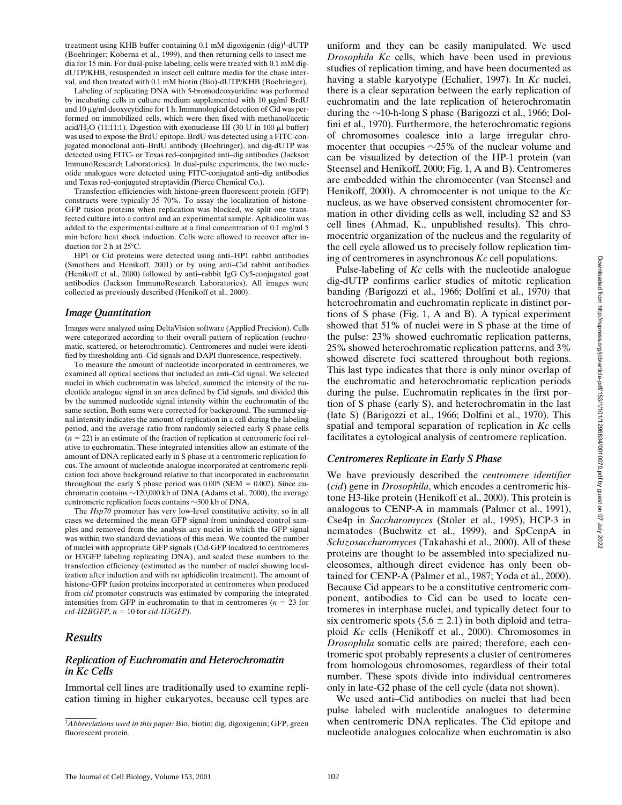treatment using KHB buffer containing 0.1 mM digoxigenin (dig)<sup>1</sup>-dUTP (Boehringer; Koberna et al., 1999), and then returning cells to insect media for 15 min. For dual-pulse labeling, cells were treated with 0.1 mM digdUTP/KHB, resuspended in insect cell culture media for the chase interval, and then treated with 0.1 mM biotin (Bio)-dUTP/KHB (Boehringer).

Labeling of replicating DNA with 5-bromodeoxyuridine was performed by incubating cells in culture medium supplemented with  $10 \mu g/ml$  BrdU and 10 µg/ml deoxycytidine for 1 h. Immunological detection of Cid was performed on immobilized cells, which were then fixed with methanol/acetic acid/H<sub>2</sub>O (11:11:1). Digestion with exonuclease III (30 U in 100  $\mu$ l buffer) was used to expose the BrdU epitope. BrdU was detected using a FITC-conjugated monoclonal anti–BrdU antibody (Boehringer), and dig-dUTP was detected using FITC- or Texas red–conjugated anti–dig antibodies (Jackson ImmunoResearch Laboratories). In dual-pulse experiments, the two nucleotide analogues were detected using FITC-conjugated anti–dig antibodies and Texas red–conjugated streptavidin (Pierce Chemical Co.).

Transfection efficiencies with histone-green fluorescent protein (GFP) constructs were typically 35–70%. To assay the localization of histone-GFP fusion proteins when replication was blocked, we split one transfected culture into a control and an experimental sample. Aphidicolin was added to the experimental culture at a final concentration of 0.1 mg/ml 5 min before heat shock induction. Cells were allowed to recover after induction for 2 h at  $25^{\circ}$ C.

HP1 or Cid proteins were detected using anti–HP1 rabbit antibodies (Smothers and Henikoff, 2001) or by using anti–Cid rabbit antibodies (Henikoff et al., 2000) followed by anti–rabbit IgG Cy5-conjugated goat antibodies (Jackson ImmunoResearch Laboratories). All images were collected as previously described (Henikoff et al., 2000).

#### *Image Quantitation*

Images were analyzed using DeltaVision software (Applied Precision). Cells were categorized according to their overall pattern of replication (euchromatic, scattered, or heterochromatic). Centromeres and nuclei were identified by thresholding anti–Cid signals and DAPI fluorescence, respectively.

To measure the amount of nucleotide incorporated in centromeres, we examined all optical sections that included an anti–Cid signal. We selected nuclei in which euchromatin was labeled, summed the intensity of the nucleotide analogue signal in an area defined by Cid signals, and divided this by the summed nucleotide signal intensity within the euchromatin of the same section. Both sums were corrected for background. The summed signal intensity indicates the amount of replication in a cell during the labeling period, and the average ratio from randomly selected early S phase cells  $(n = 22)$  is an estimate of the fraction of replication at centromeric foci relative to euchromatin. These integrated intensities allow an estimate of the amount of DNA replicated early in S phase at a centromeric replication focus. The amount of nucleotide analogue incorporated at centromeric replication foci above background relative to that incorporated in euchromatin throughout the early S phase period was  $0.005$  (SEM =  $0.002$ ). Since euchromatin contains  $\sim$ 120,000 kb of DNA (Adams et al., 2000), the average centromeric replication focus contains  $\sim$  500 kb of DNA.

The *Hsp70* promoter has very low-level constitutive activity, so in all cases we determined the mean GFP signal from uninduced control samples and removed from the analysis any nuclei in which the GFP signal was within two standard deviations of this mean. We counted the number of nuclei with appropriate GFP signals (Cid-GFP localized to centromeres or H3GFP labeling replicating DNA), and scaled these numbers to the transfection efficiency (estimated as the number of nuclei showing localization after induction and with no aphidicolin treatment). The amount of histone-GFP fusion proteins incorporated at centromeres when produced from *cid* promoter constructs was estimated by comparing the integrated intensities from GFP in euchromatin to that in centromeres ( $n = 23$  for  $cid$ - $H2BGFP$ ,  $n = 10$  for *cid-H3GFP*).

### *Results*

#### *Replication of Euchromatin and Heterochromatin in Kc Cells*

Immortal cell lines are traditionally used to examine replication timing in higher eukaryotes, because cell types are

uniform and they can be easily manipulated. We used *Drosophila Kc* cells, which have been used in previous studies of replication timing, and have been documented as having a stable karyotype (Echalier, 1997). In *Kc* nuclei, there is a clear separation between the early replication of euchromatin and the late replication of heterochromatin during the  $\sim$ 10-h-long S phase (Barigozzi et al., 1966; Dolfini et al., 1970). Furthermore, the heterochromatic regions of chromosomes coalesce into a large irregular chromocenter that occupies  $\sim$ 25% of the nuclear volume and can be visualized by detection of the HP-1 protein (van Steensel and Henikoff, 2000; Fig. 1, A and B). Centromeres are embedded within the chromocenter (van Steensel and Henikoff, 2000). A chromocenter is not unique to the *Kc* nucleus, as we have observed consistent chromocenter formation in other dividing cells as well, including S2 and S3 cell lines (Ahmad, K., unpublished results). This chromocentric organization of the nucleus and the regularity of the cell cycle allowed us to precisely follow replication timing of centromeres in asynchronous *Kc* cell populations.

Pulse-labeling of *Kc* cells with the nucleotide analogue dig-dUTP confirms earlier studies of mitotic replication banding *(*Barigozzi et al., 1966; Dolfini et al., 1970*)* that heterochromatin and euchromatin replicate in distinct portions of S phase (Fig. 1, A and B). A typical experiment showed that 51% of nuclei were in S phase at the time of the pulse: 23% showed euchromatic replication patterns, 25% showed heterochromatic replication patterns, and 3% showed discrete foci scattered throughout both regions. This last type indicates that there is only minor overlap of the euchromatic and heterochromatic replication periods during the pulse. Euchromatin replicates in the first portion of S phase (early S), and heterochromatin in the last (late S) (Barigozzi et al., 1966; Dolfini et al., 1970). This spatial and temporal separation of replication in *Kc* cells facilitates a cytological analysis of centromere replication.

## *Centromeres Replicate in Early S Phase*

We have previously described the *centromere identifier* (*cid*) gene in *Drosophila*, which encodes a centromeric histone H3-like protein (Henikoff et al., 2000). This protein is analogous to CENP-A in mammals (Palmer et al., 1991), Cse4p in *Saccharomyces* (Stoler et al., 1995), HCP-3 in nematodes (Buchwitz et al., 1999), and SpCenpA in *Schizosaccharomyces* (Takahashi et al., 2000). All of these proteins are thought to be assembled into specialized nucleosomes, although direct evidence has only been obtained for CENP-A (Palmer et al., 1987; Yoda et al., 2000). Because Cid appears to be a constitutive centromeric component, antibodies to Cid can be used to locate centromeres in interphase nuclei, and typically detect four to six centromeric spots  $(5.6 \pm 2.1)$  in both diploid and tetraploid *Kc* cells (Henikoff et al., 2000). Chromosomes in *Drosophila* somatic cells are paired; therefore, each centromeric spot probably represents a cluster of centromeres from homologous chromosomes, regardless of their total number. These spots divide into individual centromeres only in late-G2 phase of the cell cycle (data not shown).

We used anti–Cid antibodies on nuclei that had been pulse labeled with nucleotide analogues to determine when centromeric DNA replicates. The Cid epitope and nucleotide analogues colocalize when euchromatin is also

<sup>1</sup> *Abbreviations used in this paper:* Bio, biotin; dig, digoxigenin; GFP, green fluorescent protein.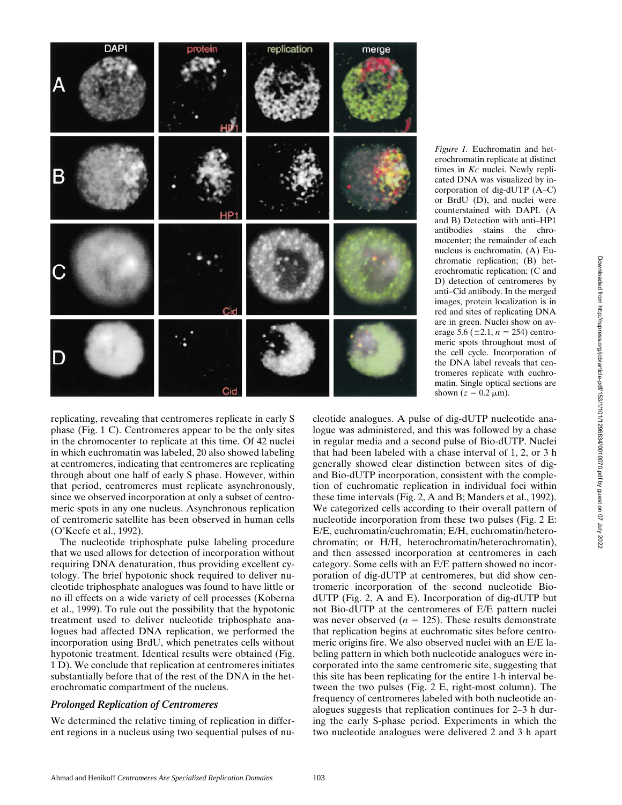

*Figure 1.* Euchromatin and heterochromatin replicate at distinct times in *Kc* nuclei. Newly replicated DNA was visualized by incorporation of dig-dUTP (A–C) or BrdU (D), and nuclei were counterstained with DAPI. (A and B) Detection with anti–HP1 antibodies stains the chromocenter; the remainder of each nucleus is euchromatin. (A) Euchromatic replication; (B) heterochromatic replication; (C and D) detection of centromeres by anti–Cid antibody. In the merged images, protein localization is in red and sites of replicating DNA are in green. Nuclei show on average 5.6 ( $\pm$ 2.1, *n* = 254) centromeric spots throughout most of the cell cycle. Incorporation of the DNA label reveals that centromeres replicate with euchromatin. Single optical sections are shown  $(z = 0.2 \mu m)$ .

replicating, revealing that centromeres replicate in early S phase (Fig. 1 C). Centromeres appear to be the only sites in the chromocenter to replicate at this time. Of 42 nuclei in which euchromatin was labeled, 20 also showed labeling at centromeres, indicating that centromeres are replicating through about one half of early S phase. However, within that period, centromeres must replicate asynchronously, since we observed incorporation at only a subset of centromeric spots in any one nucleus. Asynchronous replication of centromeric satellite has been observed in human cells (O'Keefe et al., 1992).

The nucleotide triphosphate pulse labeling procedure that we used allows for detection of incorporation without requiring DNA denaturation, thus providing excellent cytology. The brief hypotonic shock required to deliver nucleotide triphosphate analogues was found to have little or no ill effects on a wide variety of cell processes (Koberna et al., 1999). To rule out the possibility that the hypotonic treatment used to deliver nucleotide triphosphate analogues had affected DNA replication, we performed the incorporation using BrdU, which penetrates cells without hypotonic treatment. Identical results were obtained (Fig. 1 D). We conclude that replication at centromeres initiates substantially before that of the rest of the DNA in the heterochromatic compartment of the nucleus.

### *Prolonged Replication of Centromeres*

We determined the relative timing of replication in different regions in a nucleus using two sequential pulses of nucleotide analogues. A pulse of dig-dUTP nucleotide analogue was administered, and this was followed by a chase in regular media and a second pulse of Bio-dUTP. Nuclei that had been labeled with a chase interval of 1, 2, or 3 h generally showed clear distinction between sites of digand Bio-dUTP incorporation, consistent with the completion of euchromatic replication in individual foci within these time intervals (Fig. 2, A and B; Manders et al., 1992). We categorized cells according to their overall pattern of nucleotide incorporation from these two pulses (Fig. 2 E: E/E, euchromatin/euchromatin; E/H, euchromatin/heterochromatin; or H/H, heterochromatin/heterochromatin), and then assessed incorporation at centromeres in each category. Some cells with an E/E pattern showed no incorporation of dig-dUTP at centromeres, but did show centromeric incorporation of the second nucleotide BiodUTP (Fig. 2, A and E). Incorporation of dig-dUTP but not Bio-dUTP at the centromeres of E/E pattern nuclei was never observed ( $n = 125$ ). These results demonstrate that replication begins at euchromatic sites before centromeric origins fire. We also observed nuclei with an E/E labeling pattern in which both nucleotide analogues were incorporated into the same centromeric site, suggesting that this site has been replicating for the entire 1-h interval between the two pulses (Fig. 2 E, right-most column). The frequency of centromeres labeled with both nucleotide analogues suggests that replication continues for 2–3 h during the early S-phase period. Experiments in which the two nucleotide analogues were delivered 2 and 3 h apart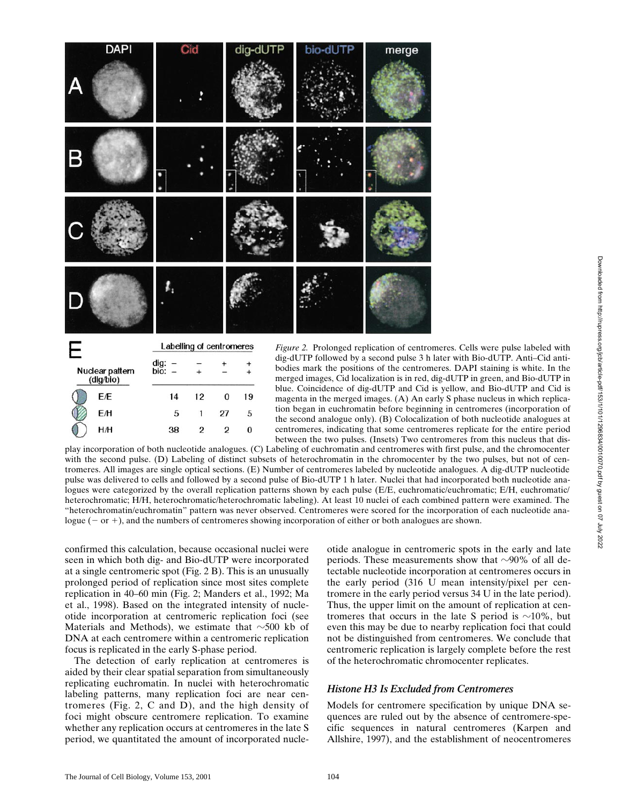

*Figure 2.* Prolonged replication of centromeres. Cells were pulse labeled with dig-dUTP followed by a second pulse 3 h later with Bio-dUTP. Anti–Cid antibodies mark the positions of the centromeres. DAPI staining is white. In the merged images, Cid localization is in red, dig-dUTP in green, and Bio-dUTP in blue. Coincidence of dig-dUTP and Cid is yellow, and Bio-dUTP and Cid is magenta in the merged images. (A) An early S phase nucleus in which replication began in euchromatin before beginning in centromeres (incorporation of the second analogue only). (B) Colocalization of both nucleotide analogues at centromeres, indicating that some centromeres replicate for the entire period between the two pulses. (Insets) Two centromeres from this nucleus that dis-

play incorporation of both nucleotide analogues. (C) Labeling of euchromatin and centromeres with first pulse, and the chromocenter with the second pulse. (D) Labeling of distinct subsets of heterochromatin in the chromocenter by the two pulses, but not of centromeres. All images are single optical sections. (E) Number of centromeres labeled by nucleotide analogues. A dig-dUTP nucleotide pulse was delivered to cells and followed by a second pulse of Bio-dUTP 1 h later. Nuclei that had incorporated both nucleotide analogues were categorized by the overall replication patterns shown by each pulse (E/E, euchromatic/euchromatic; E/H, euchromatic/ heterochromatic; H/H, heterochromatic/heterochromatic labeling). At least 10 nuclei of each combined pattern were examined. The "heterochromatin/euchromatin" pattern was never observed. Centromeres were scored for the incorporation of each nucleotide analogue  $(-$  or  $+)$ , and the numbers of centromeres showing incorporation of either or both analogues are shown.

confirmed this calculation, because occasional nuclei were seen in which both dig- and Bio-dUTP were incorporated at a single centromeric spot (Fig. 2 B). This is an unusually prolonged period of replication since most sites complete replication in 40–60 min (Fig. 2; Manders et al., 1992; Ma et al., 1998). Based on the integrated intensity of nucleotide incorporation at centromeric replication foci (see Materials and Methods), we estimate that  $\sim$ 500 kb of DNA at each centromere within a centromeric replication focus is replicated in the early S-phase period.

5

38

27

 $\overline{2}$ 

 $\overline{c}$ 

5

 $\bf{0}$ 

The detection of early replication at centromeres is aided by their clear spatial separation from simultaneously replicating euchromatin. In nuclei with heterochromatic labeling patterns, many replication foci are near centromeres (Fig. 2, C and D), and the high density of foci might obscure centromere replication. To examine whether any replication occurs at centromeres in the late S period, we quantitated the amount of incorporated nucleotide analogue in centromeric spots in the early and late periods. These measurements show that  $\sim$ 90% of all detectable nucleotide incorporation at centromeres occurs in the early period (316 U mean intensity/pixel per centromere in the early period versus 34 U in the late period). Thus, the upper limit on the amount of replication at centromeres that occurs in the late S period is  $\sim$ 10%, but even this may be due to nearby replication foci that could not be distinguished from centromeres. We conclude that centromeric replication is largely complete before the rest of the heterochromatic chromocenter replicates.

### *Histone H3 Is Excluded from Centromeres*

Models for centromere specification by unique DNA sequences are ruled out by the absence of centromere-specific sequences in natural centromeres (Karpen and Allshire, 1997), and the establishment of neocentromeres

ΕH

H/H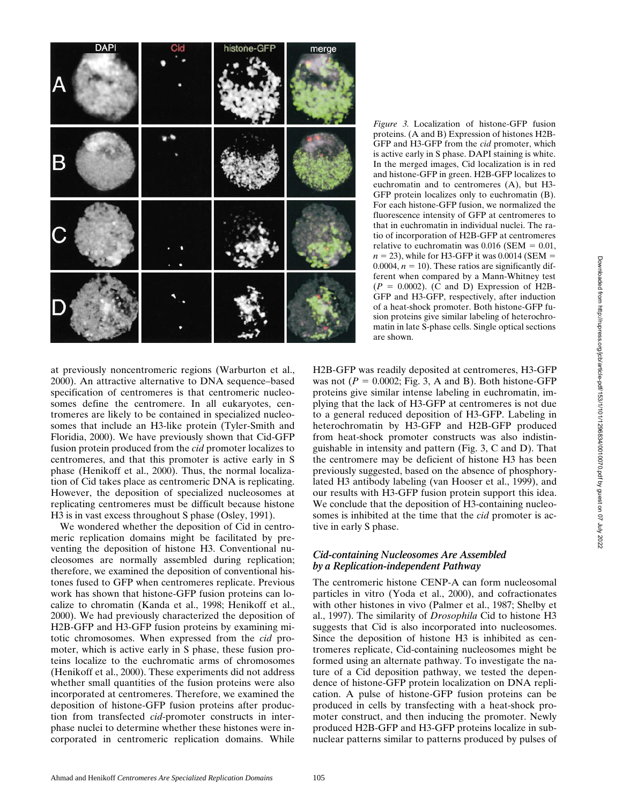

*Figure 3.* Localization of histone-GFP fusion proteins. (A and B) Expression of histones H2B-GFP and H3-GFP from the *cid* promoter, which is active early in S phase. DAPI staining is white. In the merged images, Cid localization is in red and histone-GFP in green. H2B-GFP localizes to euchromatin and to centromeres (A), but H3- GFP protein localizes only to euchromatin (B). For each histone-GFP fusion, we normalized the fluorescence intensity of GFP at centromeres to that in euchromatin in individual nuclei. The ratio of incorporation of H2B-GFP at centromeres relative to euchromatin was  $0.016$  (SEM =  $0.01$ ,  $n = 23$ ), while for H3-GFP it was 0.0014 (SEM = 0.0004,  $n = 10$ ). These ratios are significantly different when compared by a Mann-Whitney test  $(P = 0.0002)$ . (C and D) Expression of H2B-GFP and H3-GFP, respectively, after induction of a heat-shock promoter. Both histone-GFP fusion proteins give similar labeling of heterochromatin in late S-phase cells. Single optical sections are shown.

at previously noncentromeric regions (Warburton et al., 2000). An attractive alternative to DNA sequence–based specification of centromeres is that centromeric nucleosomes define the centromere. In all eukaryotes, centromeres are likely to be contained in specialized nucleosomes that include an H3-like protein (Tyler-Smith and Floridia, 2000). We have previously shown that Cid-GFP fusion protein produced from the *cid* promoter localizes to centromeres, and that this promoter is active early in S phase (Henikoff et al., 2000). Thus, the normal localization of Cid takes place as centromeric DNA is replicating. However, the deposition of specialized nucleosomes at replicating centromeres must be difficult because histone H3 is in vast excess throughout S phase (Osley, 1991).

We wondered whether the deposition of Cid in centromeric replication domains might be facilitated by preventing the deposition of histone H3. Conventional nucleosomes are normally assembled during replication; therefore, we examined the deposition of conventional histones fused to GFP when centromeres replicate. Previous work has shown that histone-GFP fusion proteins can localize to chromatin (Kanda et al., 1998; Henikoff et al., 2000). We had previously characterized the deposition of H2B-GFP and H3-GFP fusion proteins by examining mitotic chromosomes. When expressed from the *cid* promoter, which is active early in S phase, these fusion proteins localize to the euchromatic arms of chromosomes (Henikoff et al., 2000). These experiments did not address whether small quantities of the fusion proteins were also incorporated at centromeres. Therefore, we examined the deposition of histone-GFP fusion proteins after production from transfected *cid*-promoter constructs in interphase nuclei to determine whether these histones were incorporated in centromeric replication domains. While H2B-GFP was readily deposited at centromeres, H3-GFP was not  $(P = 0.0002$ ; Fig. 3, A and B). Both histone-GFP proteins give similar intense labeling in euchromatin, implying that the lack of H3-GFP at centromeres is not due to a general reduced deposition of H3-GFP. Labeling in heterochromatin by H3-GFP and H2B-GFP produced from heat-shock promoter constructs was also indistinguishable in intensity and pattern (Fig. 3, C and D). That the centromere may be deficient of histone H3 has been previously suggested, based on the absence of phosphorylated H3 antibody labeling (van Hooser et al., 1999), and our results with H3-GFP fusion protein support this idea. We conclude that the deposition of H3-containing nucleosomes is inhibited at the time that the *cid* promoter is active in early S phase.

### *Cid-containing Nucleosomes Are Assembled by a Replication-independent Pathway*

The centromeric histone CENP-A can form nucleosomal particles in vitro (Yoda et al., 2000), and cofractionates with other histones in vivo (Palmer et al., 1987; Shelby et al., 1997). The similarity of *Drosophila* Cid to histone H3 suggests that Cid is also incorporated into nucleosomes. Since the deposition of histone H3 is inhibited as centromeres replicate, Cid-containing nucleosomes might be formed using an alternate pathway. To investigate the nature of a Cid deposition pathway, we tested the dependence of histone-GFP protein localization on DNA replication. A pulse of histone-GFP fusion proteins can be produced in cells by transfecting with a heat-shock promoter construct, and then inducing the promoter. Newly produced H2B-GFP and H3-GFP proteins localize in subnuclear patterns similar to patterns produced by pulses of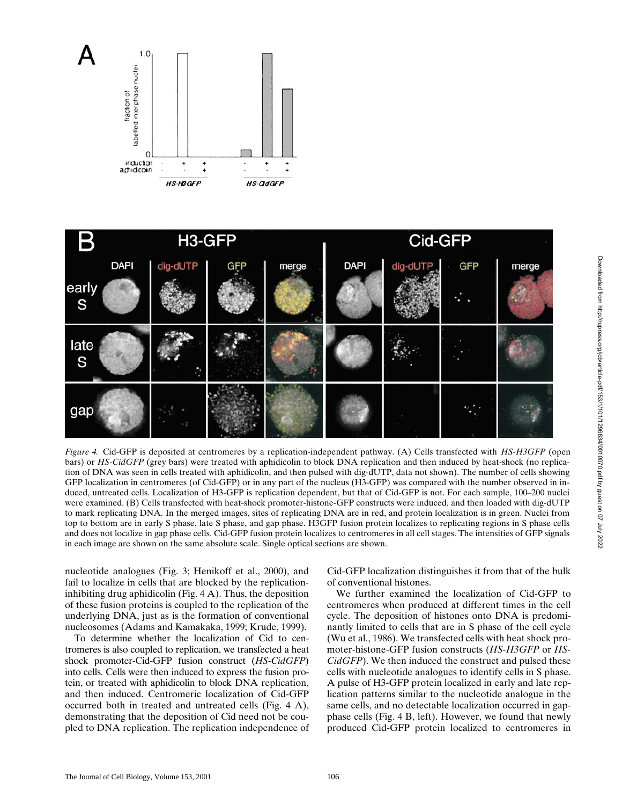



*Figure 4.* Cid-GFP is deposited at centromeres by a replication-independent pathway. (A) Cells transfected with *HS-H3GFP* (open bars) or *HS-CidGFP* (grey bars) were treated with aphidicolin to block DNA replication and then induced by heat-shock (no replication of DNA was seen in cells treated with aphidicolin, and then pulsed with dig-dUTP, data not shown). The number of cells showing GFP localization in centromeres (of Cid-GFP) or in any part of the nucleus (H3-GFP) was compared with the number observed in induced, untreated cells. Localization of H3-GFP is replication dependent, but that of Cid-GFP is not. For each sample, 100–200 nuclei were examined. (B) Cells transfected with heat-shock promoter-histone-GFP constructs were induced, and then loaded with dig-dUTP to mark replicating DNA. In the merged images, sites of replicating DNA are in red, and protein localization is in green. Nuclei from top to bottom are in early S phase, late S phase, and gap phase. H3GFP fusion protein localizes to replicating regions in S phase cells and does not localize in gap phase cells. Cid-GFP fusion protein localizes to centromeres in all cell stages. The intensities of GFP signals in each image are shown on the same absolute scale. Single optical sections are shown.

nucleotide analogues (Fig. 3; Henikoff et al., 2000), and fail to localize in cells that are blocked by the replicationinhibiting drug aphidicolin (Fig. 4 A). Thus, the deposition of these fusion proteins is coupled to the replication of the underlying DNA, just as is the formation of conventional nucleosomes (Adams and Kamakaka, 1999; Krude, 1999).

To determine whether the localization of Cid to centromeres is also coupled to replication, we transfected a heat shock promoter-Cid-GFP fusion construct (*HS-CidGFP*) into cells. Cells were then induced to express the fusion protein, or treated with aphidicolin to block DNA replication, and then induced. Centromeric localization of Cid-GFP occurred both in treated and untreated cells (Fig. 4 A), demonstrating that the deposition of Cid need not be coupled to DNA replication. The replication independence of Cid-GFP localization distinguishes it from that of the bulk of conventional histones.

We further examined the localization of Cid-GFP to centromeres when produced at different times in the cell cycle. The deposition of histones onto DNA is predominantly limited to cells that are in S phase of the cell cycle (Wu et al., 1986). We transfected cells with heat shock promoter-histone-GFP fusion constructs (*HS-H3GFP* or *HS-CidGFP*). We then induced the construct and pulsed these cells with nucleotide analogues to identify cells in S phase. A pulse of H3-GFP protein localized in early and late replication patterns similar to the nucleotide analogue in the same cells, and no detectable localization occurred in gapphase cells (Fig. 4 B, left). However, we found that newly produced Cid-GFP protein localized to centromeres in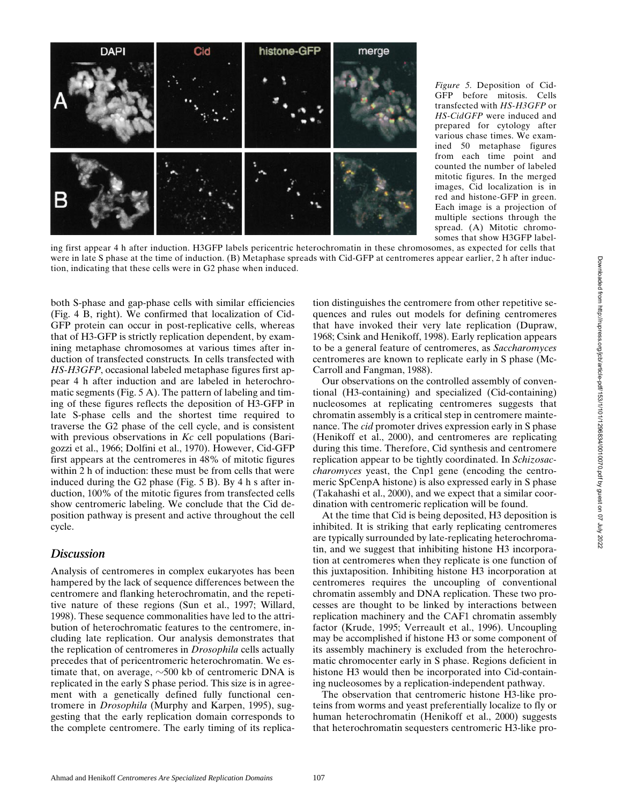

*Figure 5.* Deposition of Cid-GFP before mitosis. Cells transfected with *HS-H3GFP* or *HS-CidGFP* were induced and prepared for cytology after various chase times. We examined 50 metaphase figures from each time point and counted the number of labeled mitotic figures. In the merged images, Cid localization is in red and histone-GFP in green. Each image is a projection of multiple sections through the spread. (A) Mitotic chromosomes that show H3GFP label-

ing first appear 4 h after induction. H3GFP labels pericentric heterochromatin in these chromosomes, as expected for cells that were in late S phase at the time of induction. (B) Metaphase spreads with Cid-GFP at centromeres appear earlier, 2 h after induction, indicating that these cells were in G2 phase when induced.

both S-phase and gap-phase cells with similar efficiencies (Fig. 4 B, right). We confirmed that localization of Cid-GFP protein can occur in post-replicative cells, whereas that of H3-GFP is strictly replication dependent, by examining metaphase chromosomes at various times after induction of transfected constructs*.* In cells transfected with *HS-H3GFP*, occasional labeled metaphase figures first appear 4 h after induction and are labeled in heterochromatic segments (Fig. 5 A). The pattern of labeling and timing of these figures reflects the deposition of H3-GFP in late S-phase cells and the shortest time required to traverse the G2 phase of the cell cycle, and is consistent with previous observations in *Kc* cell populations (Barigozzi et al., 1966; Dolfini et al., 1970). However, Cid-GFP first appears at the centromeres in 48% of mitotic figures within 2 h of induction: these must be from cells that were induced during the G2 phase (Fig. 5 B). By 4 h s after induction, 100% of the mitotic figures from transfected cells show centromeric labeling. We conclude that the Cid deposition pathway is present and active throughout the cell cycle.

## *Discussion*

Analysis of centromeres in complex eukaryotes has been hampered by the lack of sequence differences between the centromere and flanking heterochromatin, and the repetitive nature of these regions (Sun et al., 1997; Willard, 1998). These sequence commonalities have led to the attribution of heterochromatic features to the centromere, including late replication. Our analysis demonstrates that the replication of centromeres in *Drosophila* cells actually precedes that of pericentromeric heterochromatin. We estimate that, on average,  $\sim$ 500 kb of centromeric DNA is replicated in the early S phase period. This size is in agreement with a genetically defined fully functional centromere in *Drosophila* (Murphy and Karpen, 1995), suggesting that the early replication domain corresponds to the complete centromere. The early timing of its replica-

tion distinguishes the centromere from other repetitive sequences and rules out models for defining centromeres that have invoked their very late replication (Dupraw, 1968; Csink and Henikoff, 1998). Early replication appears to be a general feature of centromeres, as *Saccharomyces* centromeres are known to replicate early in S phase (Mc-Carroll and Fangman, 1988).

Our observations on the controlled assembly of conventional (H3-containing) and specialized (Cid-containing) nucleosomes at replicating centromeres suggests that chromatin assembly is a critical step in centromere maintenance. The *cid* promoter drives expression early in S phase (Henikoff et al., 2000), and centromeres are replicating during this time. Therefore, Cid synthesis and centromere replication appear to be tightly coordinated. In *Schizosaccharomyces* yeast, the Cnp1 gene (encoding the centromeric SpCenpA histone) is also expressed early in S phase (Takahashi et al., 2000), and we expect that a similar coordination with centromeric replication will be found.

At the time that Cid is being deposited, H3 deposition is inhibited. It is striking that early replicating centromeres are typically surrounded by late-replicating heterochromatin, and we suggest that inhibiting histone H3 incorporation at centromeres when they replicate is one function of this juxtaposition. Inhibiting histone H3 incorporation at centromeres requires the uncoupling of conventional chromatin assembly and DNA replication. These two processes are thought to be linked by interactions between replication machinery and the CAF1 chromatin assembly factor (Krude, 1995; Verreault et al., 1996). Uncoupling may be accomplished if histone H3 or some component of its assembly machinery is excluded from the heterochromatic chromocenter early in S phase. Regions deficient in histone H3 would then be incorporated into Cid-containing nucleosomes by a replication-independent pathway.

The observation that centromeric histone H3-like proteins from worms and yeast preferentially localize to fly or human heterochromatin (Henikoff et al., 2000) suggests that heterochromatin sequesters centromeric H3-like pro-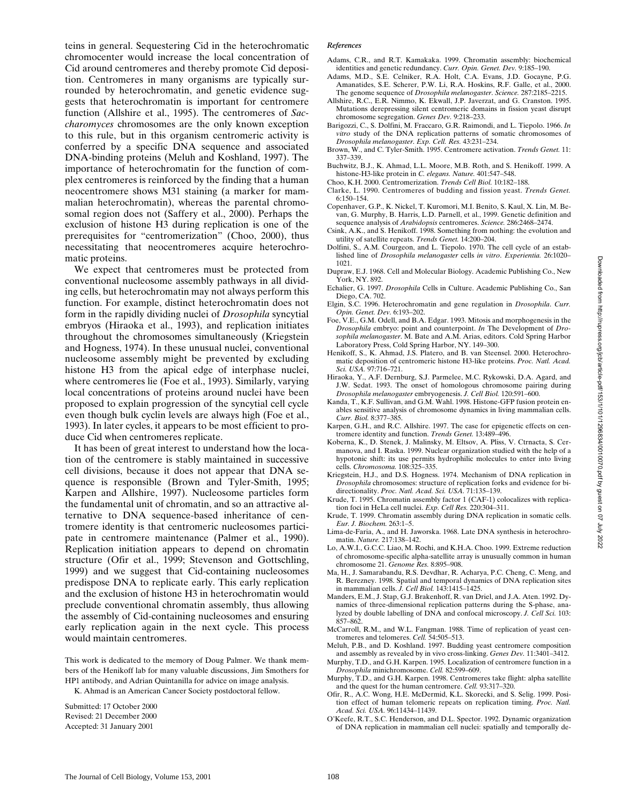Downloaded from http://rupress.org/jcb/article-pdf/153/1/101/1296834/0010070.pdf by guest on 07 July 2022 Downloaded from http://rupress.org/jcb/article-pdf/153/1/101/1296834/0010070.pdf by guest on 07 July 2022

teins in general. Sequestering Cid in the heterochromatic chromocenter would increase the local concentration of Cid around centromeres and thereby promote Cid deposition. Centromeres in many organisms are typically surrounded by heterochromatin, and genetic evidence suggests that heterochromatin is important for centromere function (Allshire et al., 1995). The centromeres of *Saccharomyces* chromosomes are the only known exception to this rule, but in this organism centromeric activity is conferred by a specific DNA sequence and associated DNA-binding proteins (Meluh and Koshland, 1997). The importance of heterochromatin for the function of complex centromeres is reinforced by the finding that a human neocentromere shows M31 staining (a marker for mammalian heterochromatin), whereas the parental chromosomal region does not (Saffery et al., 2000). Perhaps the exclusion of histone H3 during replication is one of the prerequisites for "centromerization" (Choo, 2000), thus necessitating that neocentromeres acquire heterochromatic proteins.

We expect that centromeres must be protected from conventional nucleosome assembly pathways in all dividing cells, but heterochromatin may not always perform this function. For example, distinct heterochromatin does not form in the rapidly dividing nuclei of *Drosophila* syncytial embryos (Hiraoka et al., 1993), and replication initiates throughout the chromosomes simultaneously (Kriegstein and Hogness, 1974). In these unusual nuclei, conventional nucleosome assembly might be prevented by excluding histone H3 from the apical edge of interphase nuclei, where centromeres lie (Foe et al., 1993). Similarly, varying local concentrations of proteins around nuclei have been proposed to explain progression of the syncytial cell cycle even though bulk cyclin levels are always high (Foe et al., 1993). In later cycles, it appears to be most efficient to produce Cid when centromeres replicate.

It has been of great interest to understand how the location of the centromere is stably maintained in successive cell divisions, because it does not appear that DNA sequence is responsible (Brown and Tyler-Smith, 1995; Karpen and Allshire, 1997). Nucleosome particles form the fundamental unit of chromatin, and so an attractive alternative to DNA sequence-based inheritance of centromere identity is that centromeric nucleosomes participate in centromere maintenance (Palmer et al., 1990). Replication initiation appears to depend on chromatin structure (Ofir et al., 1999; Stevenson and Gottschling, 1999) and we suggest that Cid-containing nucleosomes predispose DNA to replicate early. This early replication and the exclusion of histone H3 in heterochromatin would preclude conventional chromatin assembly, thus allowing the assembly of Cid-containing nucleosomes and ensuring early replication again in the next cycle. This process would maintain centromeres.

This work is dedicated to the memory of Doug Palmer. We thank members of the Henikoff lab for many valuable discussions, Jim Smothers for HP1 antibody, and Adrian Quintanilla for advice on image analysis.

K. Ahmad is an American Cancer Society postdoctoral fellow.

Submitted: 17 October 2000 Revised: 21 December 2000 Accepted: 31 January 2001

#### *References*

- Adams, C.R., and R.T. Kamakaka. 1999. Chromatin assembly: biochemical identities and genetic redundancy. *Curr. Opin. Genet. Dev.* 9:185–190.
- Adams, M.D., S.E. Celniker, R.A. Holt, C.A. Evans, J.D. Gocayne, P.G. Amanatides, S.E. Scherer, P.W. Li, R.A. Hoskins, R.F. Galle, et al., 2000. The genome sequence of *Drosophila melanogaster*. *Science.* 287:2185–2215.
- Allshire, R.C., E.R. Nimmo, K. Ekwall, J.P. Javerzat, and G. Cranston. 1995. Mutations derepressing silent centromeric domains in fission yeast disrupt chromosome segregation. *Genes Dev.* 9:218–233.
- Barigozzi, C., S. Dolfini, M. Fraccaro, G.R. Raimondi, and L. Tiepolo. 1966. *In vitro* study of the DNA replication patterns of somatic chromosomes of *Drosophila melanogaster*. *Exp. Cell. Res.* 43:231–234.
- Brown, W., and C. Tyler-Smith. 1995. Centromere activation. *Trends Genet.* 11: 337–339.
- Buchwitz, B.J., K. Ahmad, L.L. Moore, M.B. Roth, and S. Henikoff. 1999. A histone-H3-like protein in *C. elegans. Nature.* 401:547–548.
- Choo, K.H. 2000. Centromerization. *Trends Cell Biol.* 10:182–188.
- Clarke, L. 1990. Centromeres of budding and fission yeast. *Trends Genet.* 6:150–154.
- Copenhaver, G.P., K. Nickel, T. Kuromori, M.I. Benito, S. Kaul, X. Lin, M. Bevan, G. Murphy, B. Harris, L.D. Parnell, et al., 1999. Genetic definition and sequence analysis of *Arabidopsis* centromeres. *Science.* 286:2468–2474.
- Csink, A.K., and S. Henikoff. 1998. Something from nothing: the evolution and utility of satellite repeats. *Trends Genet.* 14:200–204.
- Dolfini, S., A.M. Courgeon, and L. Tiepolo. 1970. The cell cycle of an established line of *Drosophila melanogaster* cells *in vitro*. *Experientia.* 26:1020– 1021.
- Dupraw, E.J. 1968. Cell and Molecular Biology. Academic Publishing Co., New York, NY. 892.
- Echalier, G. 1997. *Drosophila* Cells in Culture. Academic Publishing Co., San Diego, CA. 702.
- Elgin, S.C. 1996. Heterochromatin and gene regulation in *Drosophila*. *Curr. Opin. Genet. Dev.* 6:193–202.
- Foe, V.E., G.M. Odell, and B.A. Edgar. 1993. Mitosis and morphogenesis in the *Drosophila* embryo: point and counterpoint. *In* The Development of *Drosophila melanogaster*. M. Bate and A.M. Arias, editors. Cold Spring Harbor Laboratory Press, Cold Spring Harbor, NY. 149–300.
- Henikoff, S., K. Ahmad, J.S. Platero, and B. van Steensel. 2000. Heterochromatic deposition of centromeric histone H3-like proteins. *Proc. Natl. Acad. Sci. USA.* 97:716–721.
- Hiraoka, Y., A.F. Dernburg, S.J. Parmelee, M.C. Rykowski, D.A. Agard, and J.W. Sedat. 1993. The onset of homologous chromosome pairing during *Drosophila melanogaster* embryogenesis. *J. Cell Biol.* 120:591–600.
- Kanda, T., K.F. Sullivan, and G.M. Wahl. 1998. Histone-GFP fusion protein enables sensitive analysis of chromosome dynamics in living mammalian cells. *Curr. Biol.* 8:377–385.
- Karpen, G.H., and R.C. Allshire. 1997. The case for epigenetic effects on centromere identity and function. *Trends Genet.* 13:489–496.
- Koberna, K., D. Stenek, J. Malinsky, M. Eltsov, A. Pliss, V. Ctrnacta, S. Cermanova, and I. Raska. 1999. Nuclear organization studied with the help of a hypotonic shift: its use permits hydrophilic molecules to enter into living cells. *Chromosoma.* 108:325–335.
- Kriegstein, H.J., and D.S. Hogness. 1974. Mechanism of DNA replication in *Drosophila* chromosomes: structure of replication forks and evidence for bidirectionality. *Proc. Natl. Acad. Sci. USA.* 71:135–139.
- Krude, T. 1995. Chromatin assembly factor 1 (CAF-1) colocalizes with replication foci in HeLa cell nuclei. *Exp. Cell Res.* 220:304–311.
- Krude, T. 1999. Chromatin assembly during DNA replication in somatic cells. *Eur. J. Biochem.* 263:1–5.
- Lima-de-Faria, A., and H. Jaworska. 1968. Late DNA synthesis in heterochromatin. *Nature.* 217:138–142.
- Lo, A.W.I., G.C.C. Liao, M. Rochi, and K.H.A. Choo. 1999. Extreme reduction of chromosome-specific alpha-satellite array is unusually common in human chromosome 21. *Genome Res.* 8:895–908.
- Ma, H., J. Samarabandu, R.S. Devdhar, R. Acharya, P.C. Cheng, C. Meng, and R. Berezney. 1998. Spatial and temporal dynamics of DNA replication sites in mammalian cells. *J. Cell Biol.* 143:1415–1425.
- Manders, E.M., J. Stap, G.J. Brakenhoff, R. van Driel, and J.A. Aten. 1992. Dynamics of three-dimensional replication patterns during the S-phase, analyzed by double labelling of DNA and confocal microscopy. *J. Cell Sci.* 103: 857–862.
- McCarroll, R.M., and W.L. Fangman. 1988. Time of replication of yeast centromeres and telomeres. *Cell.* 54:505–513.
- Meluh, P.B., and D. Koshland. 1997. Budding yeast centromere composition and assembly as revealed by in vivo cross-linking. *Genes Dev.* 11:3401–3412.
- Murphy, T.D., and G.H. Karpen. 1995. Localization of centromere function in a *Drosophila* minichromosome. *Cell.* 82:599–609.
- Murphy, T.D., and G.H. Karpen. 1998. Centromeres take flight: alpha satellite and the quest for the human centromere. *Cell.* 93:317–320.
- Ofir, R., A.C. Wong, H.E. McDermid, K.L. Skorecki, and S. Selig. 1999. Position effect of human telomeric repeats on replication timing. *Proc. Natl. Acad. Sci. USA.* 96:11434–11439.
- O'Keefe, R.T., S.C. Henderson, and D.L. Spector. 1992. Dynamic organization of DNA replication in mammalian cell nuclei: spatially and temporally de-